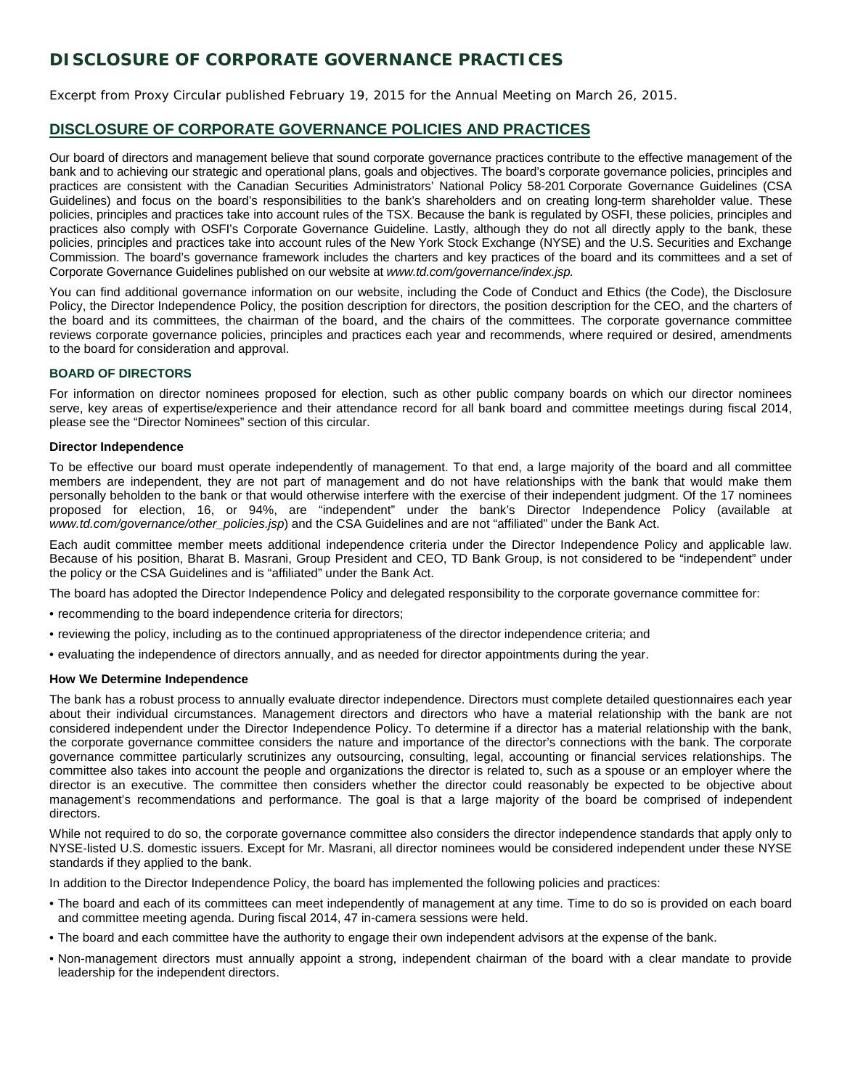# **DISCLOSURE OF CORPORATE GOVERNANCE PRACTICES**

Excerpt from Proxy Circular published February 19, 2015 for the Annual Meeting on March 26, 2015.

## **DISCLOSURE OF CORPORATE GOVERNANCE POLICIES AND PRACTICES**

Our board of directors and management believe that sound corporate governance practices contribute to the effective management of the bank and to achieving our strategic and operational plans, goals and objectives. The board's corporate governance policies, principles and practices are consistent with the Canadian Securities Administrators' National Policy 58-201 Corporate Governance Guidelines (CSA Guidelines) and focus on the board's responsibilities to the bank's shareholders and on creating long-term shareholder value. These policies, principles and practices take into account rules of the TSX. Because the bank is regulated by OSFI, these policies, principles and practices also comply with OSFI's Corporate Governance Guideline. Lastly, although they do not all directly apply to the bank, these policies, principles and practices take into account rules of the New York Stock Exchange (NYSE) and the U.S. Securities and Exchange Commission. The board's governance framework includes the charters and key practices of the board and its committees and a set of Corporate Governance Guidelines published on our website at *www.td.com/governance/index.jsp.* 

You can find additional governance information on our website, including the Code of Conduct and Ethics (the Code), the Disclosure Policy, the Director Independence Policy, the position description for directors, the position description for the CEO, and the charters of the board and its committees, the chairman of the board, and the chairs of the committees. The corporate governance committee reviews corporate governance policies, principles and practices each year and recommends, where required or desired, amendments to the board for consideration and approval.

## **BOARD OF DIRECTORS**

For information on director nominees proposed for election, such as other public company boards on which our director nominees serve, key areas of expertise/experience and their attendance record for all bank board and committee meetings during fiscal 2014, please see the "Director Nominees" section of this circular.

## **Director Independence**

To be effective our board must operate independently of management. To that end, a large majority of the board and all committee members are independent, they are not part of management and do not have relationships with the bank that would make them personally beholden to the bank or that would otherwise interfere with the exercise of their independent judgment. Of the 17 nominees proposed for election, 16, or 94%, are "independent" under the bank's Director Independence Policy (available at *www.td.com/governance/other\_policies.jsp*) and the CSA Guidelines and are not "affiliated" under the Bank Act.

Each audit committee member meets additional independence criteria under the Director Independence Policy and applicable law. Because of his position, Bharat B. Masrani, Group President and CEO, TD Bank Group, is not considered to be "independent" under the policy or the CSA Guidelines and is "affiliated" under the Bank Act.

The board has adopted the Director Independence Policy and delegated responsibility to the corporate governance committee for:

- recommending to the board independence criteria for directors;
- reviewing the policy, including as to the continued appropriateness of the director independence criteria; and
- evaluating the independence of directors annually, and as needed for director appointments during the year.

#### **How We Determine Independence**

The bank has a robust process to annually evaluate director independence. Directors must complete detailed questionnaires each year about their individual circumstances. Management directors and directors who have a material relationship with the bank are not considered independent under the Director Independence Policy. To determine if a director has a material relationship with the bank, the corporate governance committee considers the nature and importance of the director's connections with the bank. The corporate governance committee particularly scrutinizes any outsourcing, consulting, legal, accounting or financial services relationships. The committee also takes into account the people and organizations the director is related to, such as a spouse or an employer where the director is an executive. The committee then considers whether the director could reasonably be expected to be objective about management's recommendations and performance. The goal is that a large majority of the board be comprised of independent directors.

While not required to do so, the corporate governance committee also considers the director independence standards that apply only to NYSE-listed U.S. domestic issuers. Except for Mr. Masrani, all director nominees would be considered independent under these NYSE standards if they applied to the bank.

In addition to the Director Independence Policy, the board has implemented the following policies and practices:

- The board and each of its committees can meet independently of management at any time. Time to do so is provided on each board and committee meeting agenda. During fiscal 2014, 47 in-camera sessions were held.
- The board and each committee have the authority to engage their own independent advisors at the expense of the bank.
- Non-management directors must annually appoint a strong, independent chairman of the board with a clear mandate to provide leadership for the independent directors.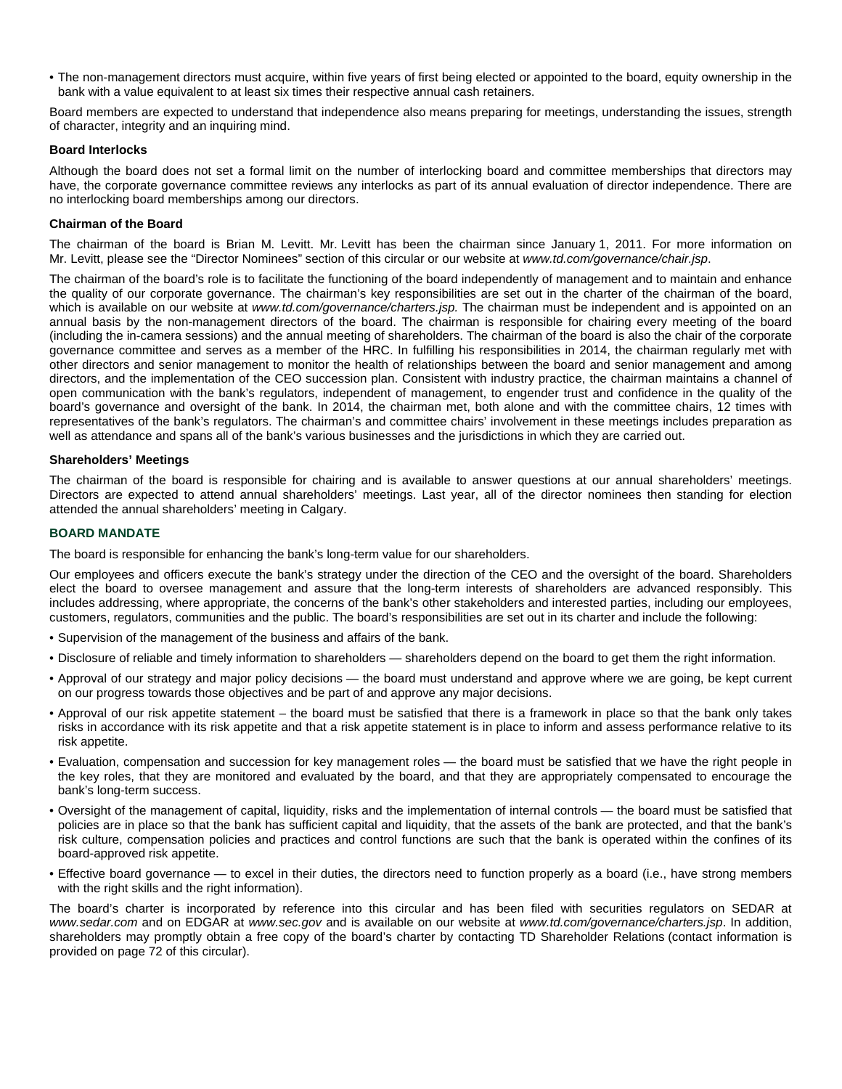• The non-management directors must acquire, within five years of first being elected or appointed to the board, equity ownership in the bank with a value equivalent to at least six times their respective annual cash retainers.

Board members are expected to understand that independence also means preparing for meetings, understanding the issues, strength of character, integrity and an inquiring mind.

## **Board Interlocks**

Although the board does not set a formal limit on the number of interlocking board and committee memberships that directors may have, the corporate governance committee reviews any interlocks as part of its annual evaluation of director independence. There are no interlocking board memberships among our directors.

## **Chairman of the Board**

The chairman of the board is Brian M. Levitt. Mr. Levitt has been the chairman since January 1, 2011. For more information on Mr. Levitt, please see the "Director Nominees" section of this circular or our website at *www.td.com/governance/chair.jsp*.

The chairman of the board's role is to facilitate the functioning of the board independently of management and to maintain and enhance the quality of our corporate governance. The chairman's key responsibilities are set out in the charter of the chairman of the board, which is available on our website at *www.td.com/governance/charters.jsp.* The chairman must be independent and is appointed on an annual basis by the non-management directors of the board. The chairman is responsible for chairing every meeting of the board (including the in-camera sessions) and the annual meeting of shareholders. The chairman of the board is also the chair of the corporate governance committee and serves as a member of the HRC. In fulfilling his responsibilities in 2014, the chairman regularly met with other directors and senior management to monitor the health of relationships between the board and senior management and among directors, and the implementation of the CEO succession plan. Consistent with industry practice, the chairman maintains a channel of open communication with the bank's regulators, independent of management, to engender trust and confidence in the quality of the board's governance and oversight of the bank. In 2014, the chairman met, both alone and with the committee chairs, 12 times with representatives of the bank's regulators. The chairman's and committee chairs' involvement in these meetings includes preparation as well as attendance and spans all of the bank's various businesses and the jurisdictions in which they are carried out.

## **Shareholders' Meetings**

The chairman of the board is responsible for chairing and is available to answer questions at our annual shareholders' meetings. Directors are expected to attend annual shareholders' meetings. Last year, all of the director nominees then standing for election attended the annual shareholders' meeting in Calgary.

## **BOARD MANDATE**

The board is responsible for enhancing the bank's long-term value for our shareholders.

Our employees and officers execute the bank's strategy under the direction of the CEO and the oversight of the board. Shareholders elect the board to oversee management and assure that the long-term interests of shareholders are advanced responsibly. This includes addressing, where appropriate, the concerns of the bank's other stakeholders and interested parties, including our employees, customers, regulators, communities and the public. The board's responsibilities are set out in its charter and include the following:

- Supervision of the management of the business and affairs of the bank.
- Disclosure of reliable and timely information to shareholders shareholders depend on the board to get them the right information.
- Approval of our strategy and major policy decisions the board must understand and approve where we are going, be kept current on our progress towards those objectives and be part of and approve any major decisions.
- Approval of our risk appetite statement the board must be satisfied that there is a framework in place so that the bank only takes risks in accordance with its risk appetite and that a risk appetite statement is in place to inform and assess performance relative to its risk appetite.
- Evaluation, compensation and succession for key management roles the board must be satisfied that we have the right people in the key roles, that they are monitored and evaluated by the board, and that they are appropriately compensated to encourage the bank's long-term success.
- Oversight of the management of capital, liquidity, risks and the implementation of internal controls the board must be satisfied that policies are in place so that the bank has sufficient capital and liquidity, that the assets of the bank are protected, and that the bank's risk culture, compensation policies and practices and control functions are such that the bank is operated within the confines of its board-approved risk appetite.
- Effective board governance to excel in their duties, the directors need to function properly as a board (i.e., have strong members with the right skills and the right information).

The board's charter is incorporated by reference into this circular and has been filed with securities regulators on SEDAR at *www.sedar.com* and on EDGAR at *www.sec.gov* and is available on our website at *www.td.com/governance/charters.jsp*. In addition, shareholders may promptly obtain a free copy of the board's charter by contacting TD Shareholder Relations (contact information is provided on page 72 of this circular).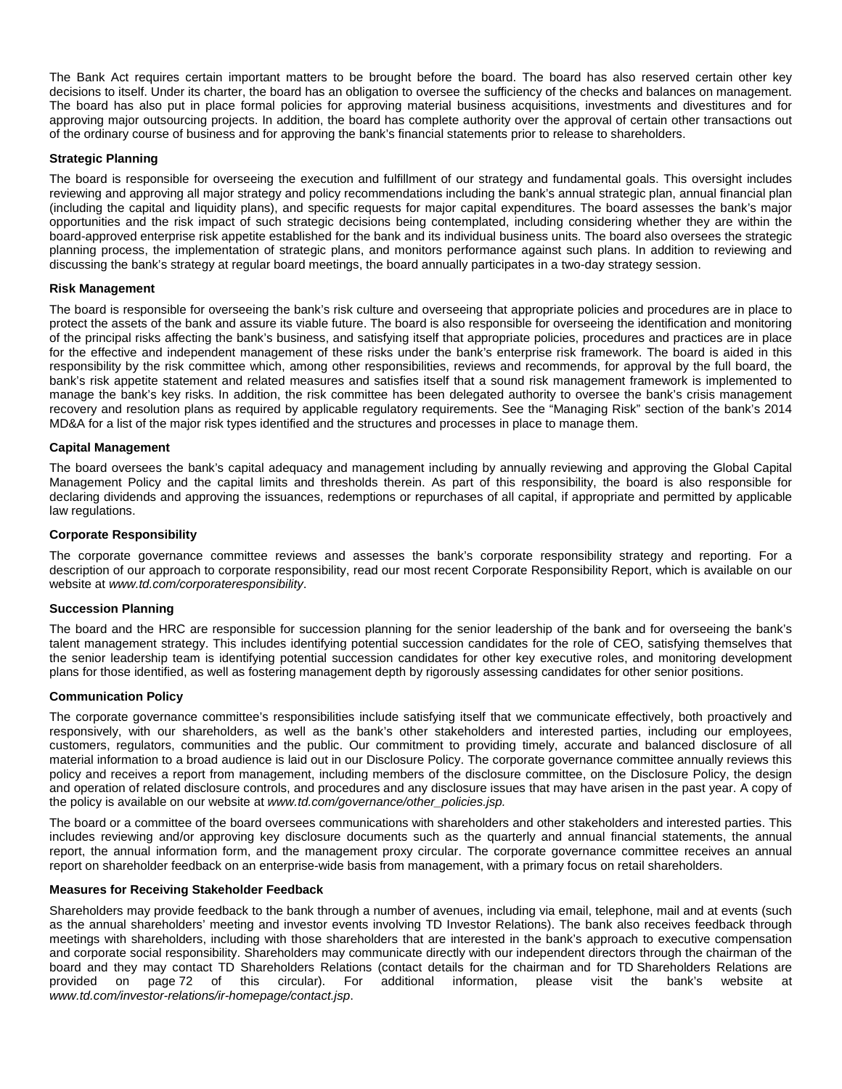The Bank Act requires certain important matters to be brought before the board. The board has also reserved certain other key decisions to itself. Under its charter, the board has an obligation to oversee the sufficiency of the checks and balances on management. The board has also put in place formal policies for approving material business acquisitions, investments and divestitures and for approving major outsourcing projects. In addition, the board has complete authority over the approval of certain other transactions out of the ordinary course of business and for approving the bank's financial statements prior to release to shareholders.

## **Strategic Planning**

The board is responsible for overseeing the execution and fulfillment of our strategy and fundamental goals. This oversight includes reviewing and approving all major strategy and policy recommendations including the bank's annual strategic plan, annual financial plan (including the capital and liquidity plans), and specific requests for major capital expenditures. The board assesses the bank's major opportunities and the risk impact of such strategic decisions being contemplated, including considering whether they are within the board-approved enterprise risk appetite established for the bank and its individual business units. The board also oversees the strategic planning process, the implementation of strategic plans, and monitors performance against such plans. In addition to reviewing and discussing the bank's strategy at regular board meetings, the board annually participates in a two-day strategy session.

#### **Risk Management**

The board is responsible for overseeing the bank's risk culture and overseeing that appropriate policies and procedures are in place to protect the assets of the bank and assure its viable future. The board is also responsible for overseeing the identification and monitoring of the principal risks affecting the bank's business, and satisfying itself that appropriate policies, procedures and practices are in place for the effective and independent management of these risks under the bank's enterprise risk framework. The board is aided in this responsibility by the risk committee which, among other responsibilities, reviews and recommends, for approval by the full board, the bank's risk appetite statement and related measures and satisfies itself that a sound risk management framework is implemented to manage the bank's key risks. In addition, the risk committee has been delegated authority to oversee the bank's crisis management recovery and resolution plans as required by applicable regulatory requirements. See the "Managing Risk" section of the bank's 2014 MD&A for a list of the major risk types identified and the structures and processes in place to manage them.

## **Capital Management**

The board oversees the bank's capital adequacy and management including by annually reviewing and approving the Global Capital Management Policy and the capital limits and thresholds therein. As part of this responsibility, the board is also responsible for declaring dividends and approving the issuances, redemptions or repurchases of all capital, if appropriate and permitted by applicable law regulations.

## **Corporate Responsibility**

The corporate governance committee reviews and assesses the bank's corporate responsibility strategy and reporting. For a description of our approach to corporate responsibility, read our most recent Corporate Responsibility Report, which is available on our website at *www.td.com/corporateresponsibility*.

#### **Succession Planning**

The board and the HRC are responsible for succession planning for the senior leadership of the bank and for overseeing the bank's talent management strategy. This includes identifying potential succession candidates for the role of CEO, satisfying themselves that the senior leadership team is identifying potential succession candidates for other key executive roles, and monitoring development plans for those identified, as well as fostering management depth by rigorously assessing candidates for other senior positions.

#### **Communication Policy**

The corporate governance committee's responsibilities include satisfying itself that we communicate effectively, both proactively and responsively, with our shareholders, as well as the bank's other stakeholders and interested parties, including our employees, customers, regulators, communities and the public. Our commitment to providing timely, accurate and balanced disclosure of all material information to a broad audience is laid out in our Disclosure Policy. The corporate governance committee annually reviews this policy and receives a report from management, including members of the disclosure committee, on the Disclosure Policy, the design and operation of related disclosure controls, and procedures and any disclosure issues that may have arisen in the past year. A copy of the policy is available on our website at *www.td.com/governance/other\_policies.jsp.* 

The board or a committee of the board oversees communications with shareholders and other stakeholders and interested parties. This includes reviewing and/or approving key disclosure documents such as the quarterly and annual financial statements, the annual report, the annual information form, and the management proxy circular. The corporate governance committee receives an annual report on shareholder feedback on an enterprise-wide basis from management, with a primary focus on retail shareholders.

#### **Measures for Receiving Stakeholder Feedback**

Shareholders may provide feedback to the bank through a number of avenues, including via email, telephone, mail and at events (such as the annual shareholders' meeting and investor events involving TD Investor Relations). The bank also receives feedback through meetings with shareholders, including with those shareholders that are interested in the bank's approach to executive compensation and corporate social responsibility. Shareholders may communicate directly with our independent directors through the chairman of the board and they may contact TD Shareholders Relations (contact details for the chairman and for TD Shareholders Relations are<br>provided on page 72 of this circular). For additional information, please visit the bank's websit For additional information, *www.td.com/investor-relations/ir-homepage/contact.jsp*.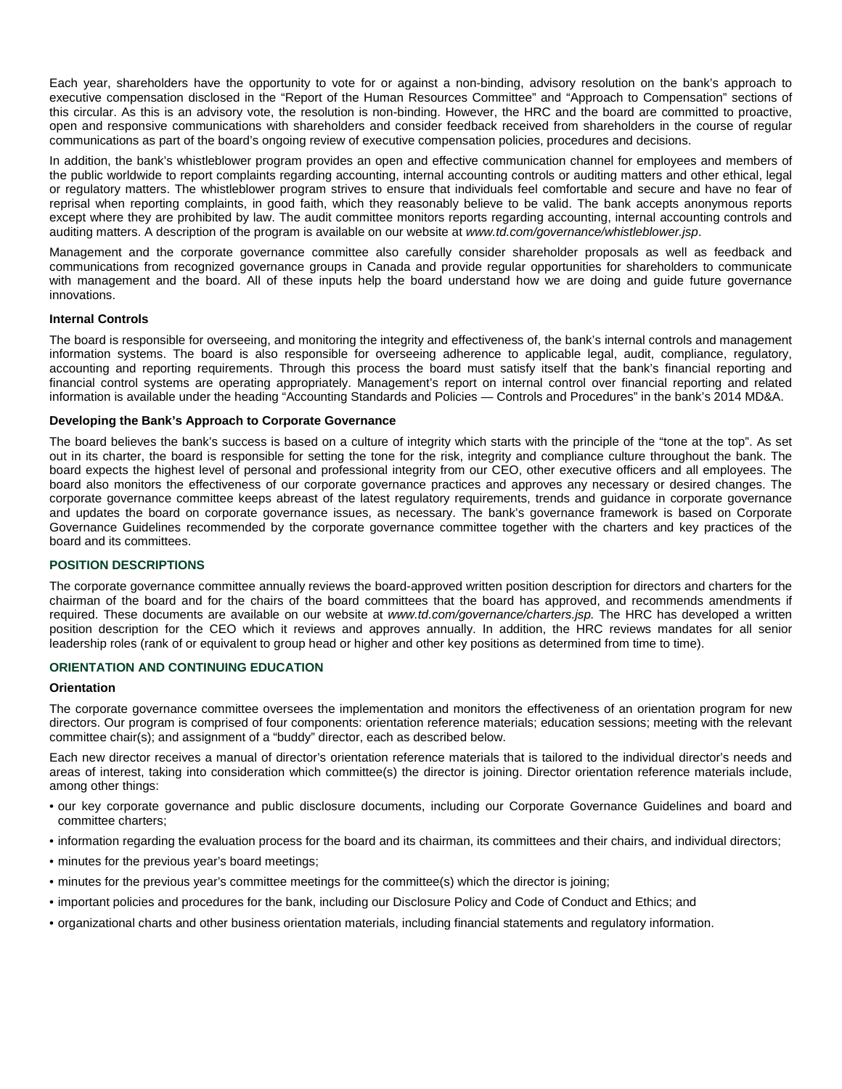Each year, shareholders have the opportunity to vote for or against a non-binding, advisory resolution on the bank's approach to executive compensation disclosed in the "Report of the Human Resources Committee" and "Approach to Compensation" sections of this circular. As this is an advisory vote, the resolution is non-binding. However, the HRC and the board are committed to proactive, open and responsive communications with shareholders and consider feedback received from shareholders in the course of regular communications as part of the board's ongoing review of executive compensation policies, procedures and decisions.

In addition, the bank's whistleblower program provides an open and effective communication channel for employees and members of the public worldwide to report complaints regarding accounting, internal accounting controls or auditing matters and other ethical, legal or regulatory matters. The whistleblower program strives to ensure that individuals feel comfortable and secure and have no fear of reprisal when reporting complaints, in good faith, which they reasonably believe to be valid. The bank accepts anonymous reports except where they are prohibited by law. The audit committee monitors reports regarding accounting, internal accounting controls and auditing matters. A description of the program is available on our website at *www.td.com/governance/whistleblower.jsp*.

Management and the corporate governance committee also carefully consider shareholder proposals as well as feedback and communications from recognized governance groups in Canada and provide regular opportunities for shareholders to communicate with management and the board. All of these inputs help the board understand how we are doing and guide future governance innovations.

## **Internal Controls**

The board is responsible for overseeing, and monitoring the integrity and effectiveness of, the bank's internal controls and management information systems. The board is also responsible for overseeing adherence to applicable legal, audit, compliance, regulatory, accounting and reporting requirements. Through this process the board must satisfy itself that the bank's financial reporting and financial control systems are operating appropriately. Management's report on internal control over financial reporting and related information is available under the heading "Accounting Standards and Policies — Controls and Procedures" in the bank's 2014 MD&A.

## **Developing the Bank's Approach to Corporate Governance**

The board believes the bank's success is based on a culture of integrity which starts with the principle of the "tone at the top". As set out in its charter, the board is responsible for setting the tone for the risk, integrity and compliance culture throughout the bank. The board expects the highest level of personal and professional integrity from our CEO, other executive officers and all employees. The board also monitors the effectiveness of our corporate governance practices and approves any necessary or desired changes. The corporate governance committee keeps abreast of the latest regulatory requirements, trends and guidance in corporate governance and updates the board on corporate governance issues, as necessary. The bank's governance framework is based on Corporate Governance Guidelines recommended by the corporate governance committee together with the charters and key practices of the board and its committees.

## **POSITION DESCRIPTIONS**

The corporate governance committee annually reviews the board-approved written position description for directors and charters for the chairman of the board and for the chairs of the board committees that the board has approved, and recommends amendments if required. These documents are available on our website at *www.td.com/governance/charters.jsp.* The HRC has developed a written position description for the CEO which it reviews and approves annually. In addition, the HRC reviews mandates for all senior leadership roles (rank of or equivalent to group head or higher and other key positions as determined from time to time).

#### **ORIENTATION AND CONTINUING EDUCATION**

#### **Orientation**

The corporate governance committee oversees the implementation and monitors the effectiveness of an orientation program for new directors. Our program is comprised of four components: orientation reference materials; education sessions; meeting with the relevant committee chair(s); and assignment of a "buddy" director, each as described below.

Each new director receives a manual of director's orientation reference materials that is tailored to the individual director's needs and areas of interest, taking into consideration which committee(s) the director is joining. Director orientation reference materials include, among other things:

- our key corporate governance and public disclosure documents, including our Corporate Governance Guidelines and board and committee charters;
- information regarding the evaluation process for the board and its chairman, its committees and their chairs, and individual directors;
- minutes for the previous year's board meetings;
- minutes for the previous year's committee meetings for the committee(s) which the director is joining;
- important policies and procedures for the bank, including our Disclosure Policy and Code of Conduct and Ethics; and
- organizational charts and other business orientation materials, including financial statements and regulatory information.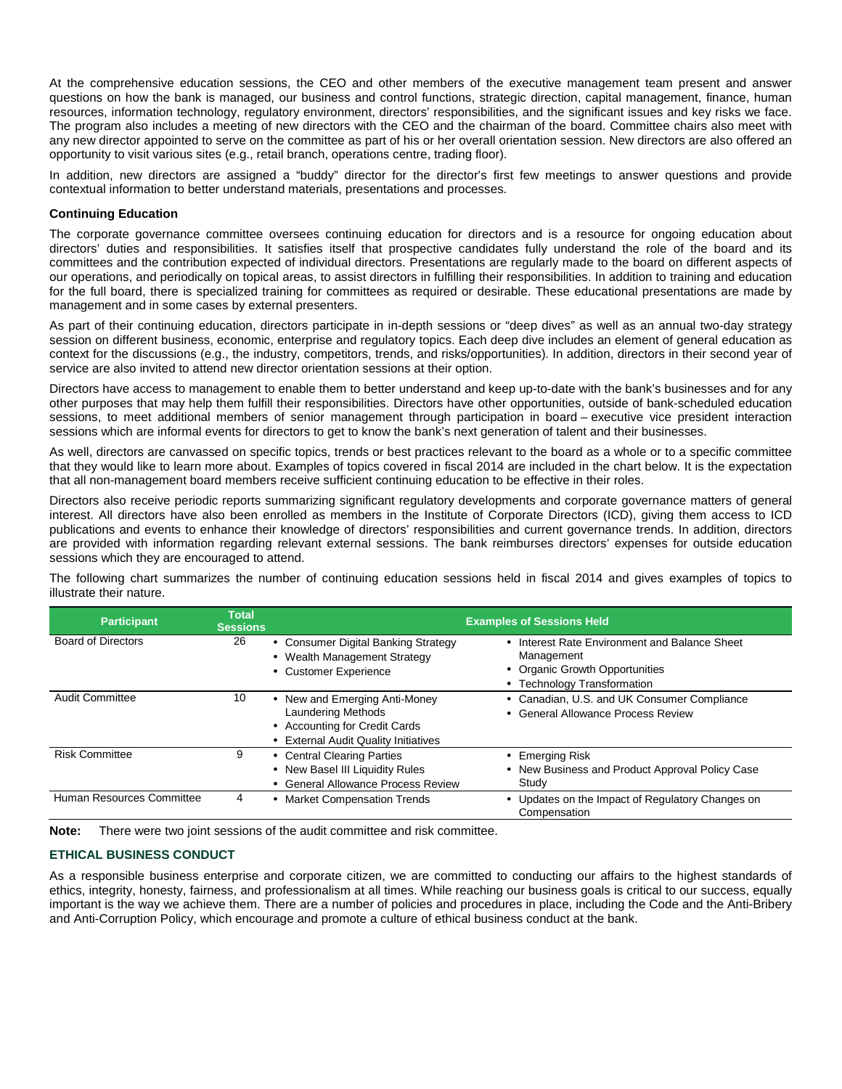At the comprehensive education sessions, the CEO and other members of the executive management team present and answer questions on how the bank is managed, our business and control functions, strategic direction, capital management, finance, human resources, information technology, regulatory environment, directors' responsibilities, and the significant issues and key risks we face. The program also includes a meeting of new directors with the CEO and the chairman of the board. Committee chairs also meet with any new director appointed to serve on the committee as part of his or her overall orientation session. New directors are also offered an opportunity to visit various sites (e.g., retail branch, operations centre, trading floor).

In addition, new directors are assigned a "buddy" director for the director's first few meetings to answer questions and provide contextual information to better understand materials, presentations and processes.

## **Continuing Education**

The corporate governance committee oversees continuing education for directors and is a resource for ongoing education about directors' duties and responsibilities. It satisfies itself that prospective candidates fully understand the role of the board and its committees and the contribution expected of individual directors. Presentations are regularly made to the board on different aspects of our operations, and periodically on topical areas, to assist directors in fulfilling their responsibilities. In addition to training and education for the full board, there is specialized training for committees as required or desirable. These educational presentations are made by management and in some cases by external presenters.

As part of their continuing education, directors participate in in-depth sessions or "deep dives" as well as an annual two-day strategy session on different business, economic, enterprise and regulatory topics. Each deep dive includes an element of general education as context for the discussions (e.g., the industry, competitors, trends, and risks/opportunities). In addition, directors in their second year of service are also invited to attend new director orientation sessions at their option.

Directors have access to management to enable them to better understand and keep up-to-date with the bank's businesses and for any other purposes that may help them fulfill their responsibilities. Directors have other opportunities, outside of bank-scheduled education sessions, to meet additional members of senior management through participation in board – executive vice president interaction sessions which are informal events for directors to get to know the bank's next generation of talent and their businesses.

As well, directors are canvassed on specific topics, trends or best practices relevant to the board as a whole or to a specific committee that they would like to learn more about. Examples of topics covered in fiscal 2014 are included in the chart below. It is the expectation that all non-management board members receive sufficient continuing education to be effective in their roles.

Directors also receive periodic reports summarizing significant regulatory developments and corporate governance matters of general interest. All directors have also been enrolled as members in the Institute of Corporate Directors (ICD), giving them access to ICD publications and events to enhance their knowledge of directors' responsibilities and current governance trends. In addition, directors are provided with information regarding relevant external sessions. The bank reimburses directors' expenses for outside education sessions which they are encouraged to attend.

The following chart summarizes the number of continuing education sessions held in fiscal 2014 and gives examples of topics to illustrate their nature.

| <b>Participant</b>        | <b>Total</b><br><b>Sessions</b> |                                                                                                                            | <b>Examples of Sessions Held</b>                                                                                             |
|---------------------------|---------------------------------|----------------------------------------------------------------------------------------------------------------------------|------------------------------------------------------------------------------------------------------------------------------|
| <b>Board of Directors</b> | 26                              | • Consumer Digital Banking Strategy<br>• Wealth Management Strategy<br>• Customer Experience                               | • Interest Rate Environment and Balance Sheet<br>Management<br>• Organic Growth Opportunities<br>• Technology Transformation |
| Audit Committee           | 10                              | New and Emerging Anti-Money<br>Laundering Methods<br>• Accounting for Credit Cards<br>• External Audit Quality Initiatives | Canadian, U.S. and UK Consumer Compliance<br>• General Allowance Process Review                                              |
| <b>Risk Committee</b>     | 9                               | • Central Clearing Parties<br>• New Basel III Liquidity Rules<br>• General Allowance Process Review                        | • Emerging Risk<br>• New Business and Product Approval Policy Case<br>Study                                                  |
| Human Resources Committee | 4                               | <b>Market Compensation Trends</b>                                                                                          | Updates on the Impact of Regulatory Changes on<br>Compensation                                                               |

**Note:** There were two joint sessions of the audit committee and risk committee.

## **ETHICAL BUSINESS CONDUCT**

As a responsible business enterprise and corporate citizen, we are committed to conducting our affairs to the highest standards of ethics, integrity, honesty, fairness, and professionalism at all times. While reaching our business goals is critical to our success, equally important is the way we achieve them. There are a number of policies and procedures in place, including the Code and the Anti-Bribery and Anti-Corruption Policy, which encourage and promote a culture of ethical business conduct at the bank.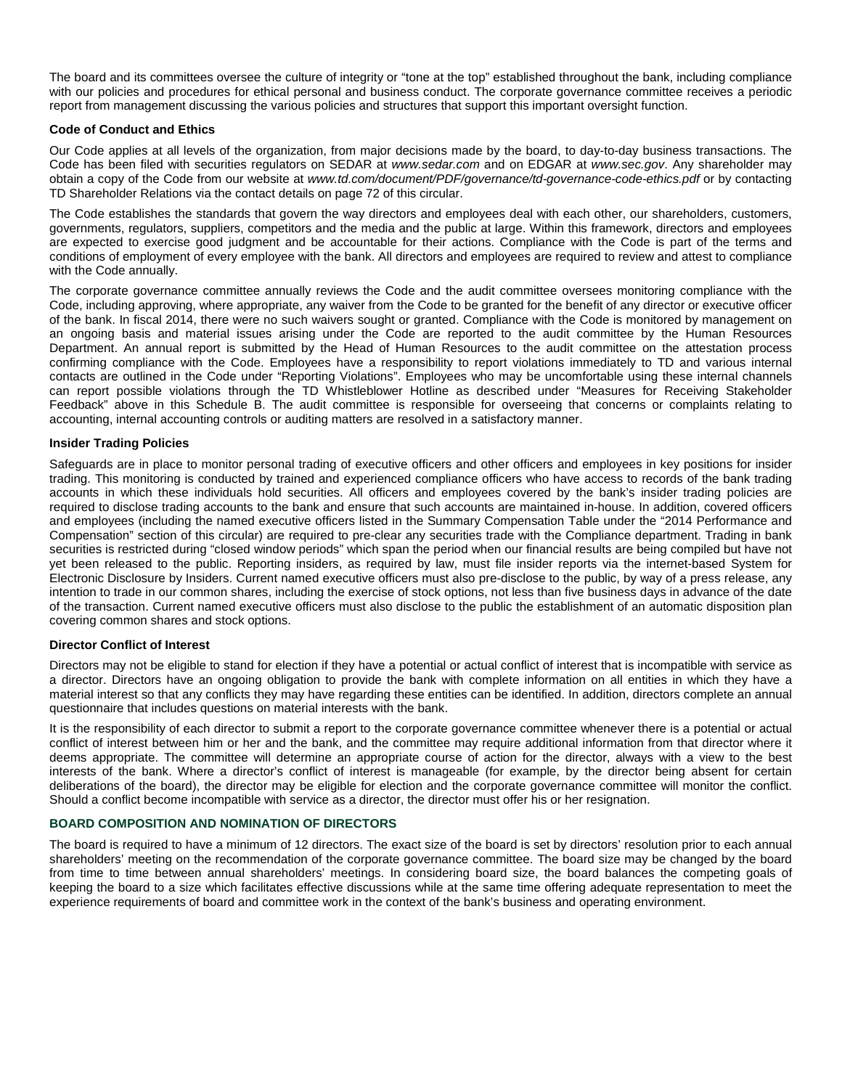The board and its committees oversee the culture of integrity or "tone at the top" established throughout the bank, including compliance with our policies and procedures for ethical personal and business conduct. The corporate governance committee receives a periodic report from management discussing the various policies and structures that support this important oversight function.

## **Code of Conduct and Ethics**

Our Code applies at all levels of the organization, from major decisions made by the board, to day-to-day business transactions. The Code has been filed with securities regulators on SEDAR at *www.sedar.com* and on EDGAR at *www.sec.gov*. Any shareholder may obtain a copy of the Code from our website at *www.td.com/document/PDF/governance/td-governance-code-ethics.pdf* or by contacting TD Shareholder Relations via the contact details on page 72 of this circular.

The Code establishes the standards that govern the way directors and employees deal with each other, our shareholders, customers, governments, regulators, suppliers, competitors and the media and the public at large. Within this framework, directors and employees are expected to exercise good judgment and be accountable for their actions. Compliance with the Code is part of the terms and conditions of employment of every employee with the bank. All directors and employees are required to review and attest to compliance with the Code annually.

The corporate governance committee annually reviews the Code and the audit committee oversees monitoring compliance with the Code, including approving, where appropriate, any waiver from the Code to be granted for the benefit of any director or executive officer of the bank. In fiscal 2014, there were no such waivers sought or granted. Compliance with the Code is monitored by management on an ongoing basis and material issues arising under the Code are reported to the audit committee by the Human Resources Department. An annual report is submitted by the Head of Human Resources to the audit committee on the attestation process confirming compliance with the Code. Employees have a responsibility to report violations immediately to TD and various internal contacts are outlined in the Code under "Reporting Violations". Employees who may be uncomfortable using these internal channels can report possible violations through the TD Whistleblower Hotline as described under "Measures for Receiving Stakeholder Feedback" above in this Schedule B. The audit committee is responsible for overseeing that concerns or complaints relating to accounting, internal accounting controls or auditing matters are resolved in a satisfactory manner.

## **Insider Trading Policies**

Safeguards are in place to monitor personal trading of executive officers and other officers and employees in key positions for insider trading. This monitoring is conducted by trained and experienced compliance officers who have access to records of the bank trading accounts in which these individuals hold securities. All officers and employees covered by the bank's insider trading policies are required to disclose trading accounts to the bank and ensure that such accounts are maintained in-house. In addition, covered officers and employees (including the named executive officers listed in the Summary Compensation Table under the "2014 Performance and Compensation" section of this circular) are required to pre-clear any securities trade with the Compliance department. Trading in bank securities is restricted during "closed window periods" which span the period when our financial results are being compiled but have not yet been released to the public. Reporting insiders, as required by law, must file insider reports via the internet-based System for Electronic Disclosure by Insiders. Current named executive officers must also pre-disclose to the public, by way of a press release, any intention to trade in our common shares, including the exercise of stock options, not less than five business days in advance of the date of the transaction. Current named executive officers must also disclose to the public the establishment of an automatic disposition plan covering common shares and stock options.

#### **Director Conflict of Interest**

Directors may not be eligible to stand for election if they have a potential or actual conflict of interest that is incompatible with service as a director. Directors have an ongoing obligation to provide the bank with complete information on all entities in which they have a material interest so that any conflicts they may have regarding these entities can be identified. In addition, directors complete an annual questionnaire that includes questions on material interests with the bank.

It is the responsibility of each director to submit a report to the corporate governance committee whenever there is a potential or actual conflict of interest between him or her and the bank, and the committee may require additional information from that director where it deems appropriate. The committee will determine an appropriate course of action for the director, always with a view to the best interests of the bank. Where a director's conflict of interest is manageable (for example, by the director being absent for certain deliberations of the board), the director may be eligible for election and the corporate governance committee will monitor the conflict. Should a conflict become incompatible with service as a director, the director must offer his or her resignation.

#### **BOARD COMPOSITION AND NOMINATION OF DIRECTORS**

The board is required to have a minimum of 12 directors. The exact size of the board is set by directors' resolution prior to each annual shareholders' meeting on the recommendation of the corporate governance committee. The board size may be changed by the board from time to time between annual shareholders' meetings. In considering board size, the board balances the competing goals of keeping the board to a size which facilitates effective discussions while at the same time offering adequate representation to meet the experience requirements of board and committee work in the context of the bank's business and operating environment.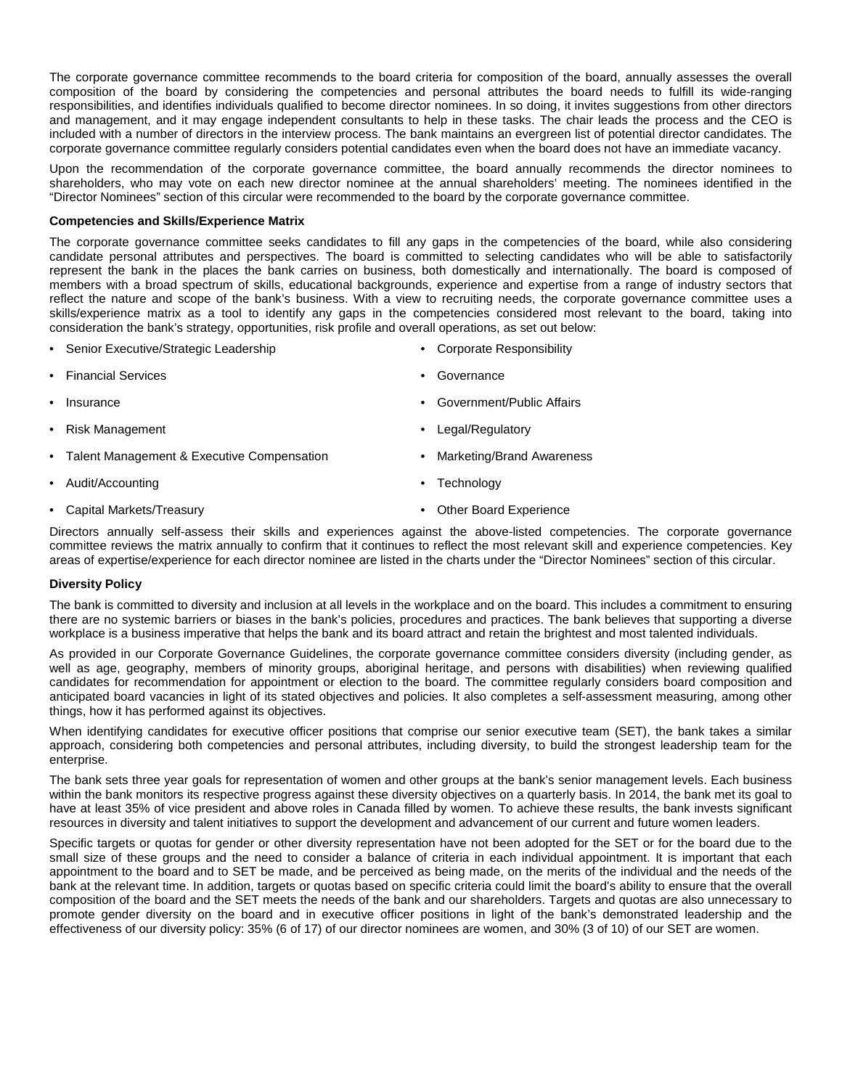The corporate governance committee recommends to the board criteria for composition of the board, annually assesses the overall composition of the board by considering the competencies and personal attributes the board needs to fulfill its wide-ranging responsibilities, and identifies individuals qualified to become director nominees. In so doing, it invites suggestions from other directors and management, and it may engage independent consultants to help in these tasks. The chair leads the process and the CEO is included with a number of directors in the interview process. The bank maintains an evergreen list of potential director candidates. The corporate governance committee regularly considers potential candidates even when the board does not have an immediate vacancy.

Upon the recommendation of the corporate governance committee, the board annually recommends the director nominees to shareholders, who may vote on each new director nominee at the annual shareholders' meeting. The nominees identified in the "Director Nominees" section of this circular were recommended to the board by the corporate governance committee.

## **Competencies and Skills/Experience Matrix**

The corporate governance committee seeks candidates to fill any gaps in the competencies of the board, while also considering candidate personal attributes and perspectives. The board is committed to selecting candidates who will be able to satisfactorily represent the bank in the places the bank carries on business, both domestically and internationally. The board is composed of members with a broad spectrum of skills, educational backgrounds, experience and expertise from a range of industry sectors that reflect the nature and scope of the bank's business. With a view to recruiting needs, the corporate governance committee uses a skills/experience matrix as a tool to identify any gaps in the competencies considered most relevant to the board, taking into consideration the bank's strategy, opportunities, risk profile and overall operations, as set out below:

- Senior Executive/Strategic Leadership
- Financial Services
- **Governance**
- Government/Public Affairs

• Risk Management

**Insurance** 

- Talent Management & Executive Compensation
- Audit/Accounting
- Capital Markets/Treasury
- Legal/Regulatory
- Marketing/Brand Awareness

• Corporate Responsibility

- **Technology**
- Other Board Experience

Directors annually self-assess their skills and experiences against the above-listed competencies. The corporate governance committee reviews the matrix annually to confirm that it continues to reflect the most relevant skill and experience competencies. Key areas of expertise/experience for each director nominee are listed in the charts under the "Director Nominees" section of this circular.

#### **Diversity Policy**

The bank is committed to diversity and inclusion at all levels in the workplace and on the board. This includes a commitment to ensuring there are no systemic barriers or biases in the bank's policies, procedures and practices. The bank believes that supporting a diverse workplace is a business imperative that helps the bank and its board attract and retain the brightest and most talented individuals.

As provided in our Corporate Governance Guidelines, the corporate governance committee considers diversity (including gender, as well as age, geography, members of minority groups, aboriginal heritage, and persons with disabilities) when reviewing qualified candidates for recommendation for appointment or election to the board. The committee regularly considers board composition and anticipated board vacancies in light of its stated objectives and policies. It also completes a self-assessment measuring, among other things, how it has performed against its objectives.

When identifying candidates for executive officer positions that comprise our senior executive team (SET), the bank takes a similar approach, considering both competencies and personal attributes, including diversity, to build the strongest leadership team for the enterprise.

The bank sets three year goals for representation of women and other groups at the bank's senior management levels. Each business within the bank monitors its respective progress against these diversity objectives on a quarterly basis. In 2014, the bank met its goal to have at least 35% of vice president and above roles in Canada filled by women. To achieve these results, the bank invests significant resources in diversity and talent initiatives to support the development and advancement of our current and future women leaders.

Specific targets or quotas for gender or other diversity representation have not been adopted for the SET or for the board due to the small size of these groups and the need to consider a balance of criteria in each individual appointment. It is important that each appointment to the board and to SET be made, and be perceived as being made, on the merits of the individual and the needs of the bank at the relevant time. In addition, targets or quotas based on specific criteria could limit the board's ability to ensure that the overall composition of the board and the SET meets the needs of the bank and our shareholders. Targets and quotas are also unnecessary to promote gender diversity on the board and in executive officer positions in light of the bank's demonstrated leadership and the effectiveness of our diversity policy: 35% (6 of 17) of our director nominees are women, and 30% (3 of 10) of our SET are women.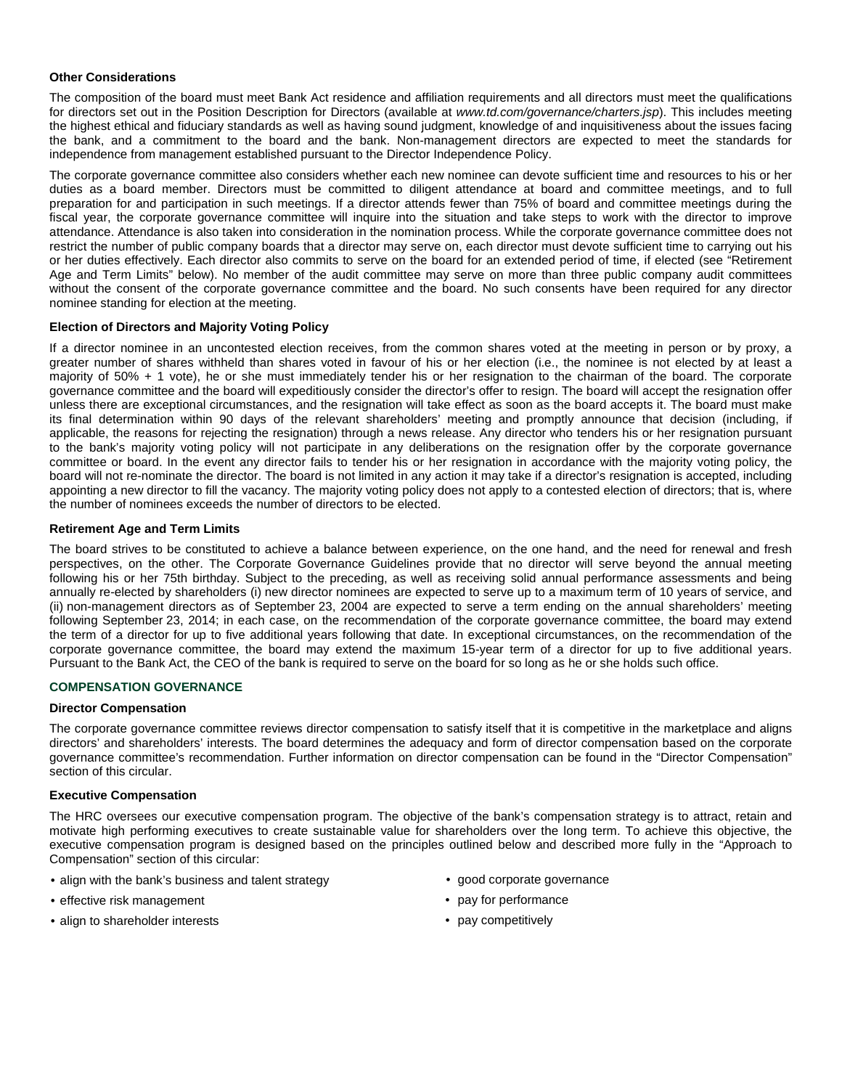## **Other Considerations**

The composition of the board must meet Bank Act residence and affiliation requirements and all directors must meet the qualifications for directors set out in the Position Description for Directors (available at *www.td.com/governance/charters.jsp*). This includes meeting the highest ethical and fiduciary standards as well as having sound judgment, knowledge of and inquisitiveness about the issues facing the bank, and a commitment to the board and the bank. Non-management directors are expected to meet the standards for independence from management established pursuant to the Director Independence Policy.

The corporate governance committee also considers whether each new nominee can devote sufficient time and resources to his or her duties as a board member. Directors must be committed to diligent attendance at board and committee meetings, and to full preparation for and participation in such meetings. If a director attends fewer than 75% of board and committee meetings during the fiscal year, the corporate governance committee will inquire into the situation and take steps to work with the director to improve attendance. Attendance is also taken into consideration in the nomination process. While the corporate governance committee does not restrict the number of public company boards that a director may serve on, each director must devote sufficient time to carrying out his or her duties effectively. Each director also commits to serve on the board for an extended period of time, if elected (see "Retirement Age and Term Limits" below). No member of the audit committee may serve on more than three public company audit committees without the consent of the corporate governance committee and the board. No such consents have been required for any director nominee standing for election at the meeting.

## **Election of Directors and Majority Voting Policy**

If a director nominee in an uncontested election receives, from the common shares voted at the meeting in person or by proxy, a greater number of shares withheld than shares voted in favour of his or her election (i.e., the nominee is not elected by at least a majority of 50% + 1 vote), he or she must immediately tender his or her resignation to the chairman of the board. The corporate governance committee and the board will expeditiously consider the director's offer to resign. The board will accept the resignation offer unless there are exceptional circumstances, and the resignation will take effect as soon as the board accepts it. The board must make its final determination within 90 days of the relevant shareholders' meeting and promptly announce that decision (including, if applicable, the reasons for rejecting the resignation) through a news release. Any director who tenders his or her resignation pursuant to the bank's majority voting policy will not participate in any deliberations on the resignation offer by the corporate governance committee or board. In the event any director fails to tender his or her resignation in accordance with the majority voting policy, the board will not re-nominate the director. The board is not limited in any action it may take if a director's resignation is accepted, including appointing a new director to fill the vacancy. The majority voting policy does not apply to a contested election of directors; that is, where the number of nominees exceeds the number of directors to be elected.

## **Retirement Age and Term Limits**

The board strives to be constituted to achieve a balance between experience, on the one hand, and the need for renewal and fresh perspectives, on the other. The Corporate Governance Guidelines provide that no director will serve beyond the annual meeting following his or her 75th birthday. Subject to the preceding, as well as receiving solid annual performance assessments and being annually re-elected by shareholders (i) new director nominees are expected to serve up to a maximum term of 10 years of service, and (ii) non-management directors as of September 23, 2004 are expected to serve a term ending on the annual shareholders' meeting following September 23, 2014; in each case, on the recommendation of the corporate governance committee, the board may extend the term of a director for up to five additional years following that date. In exceptional circumstances, on the recommendation of the corporate governance committee, the board may extend the maximum 15-year term of a director for up to five additional years. Pursuant to the Bank Act, the CEO of the bank is required to serve on the board for so long as he or she holds such office.

## **COMPENSATION GOVERNANCE**

#### **Director Compensation**

The corporate governance committee reviews director compensation to satisfy itself that it is competitive in the marketplace and aligns directors' and shareholders' interests. The board determines the adequacy and form of director compensation based on the corporate governance committee's recommendation. Further information on director compensation can be found in the "Director Compensation" section of this circular.

#### **Executive Compensation**

The HRC oversees our executive compensation program. The objective of the bank's compensation strategy is to attract, retain and motivate high performing executives to create sustainable value for shareholders over the long term. To achieve this objective, the executive compensation program is designed based on the principles outlined below and described more fully in the "Approach to Compensation" section of this circular:

- align with the bank's business and talent strategy
- effective risk management
- align to shareholder interests
- good corporate governance
- pay for performance
- pay competitively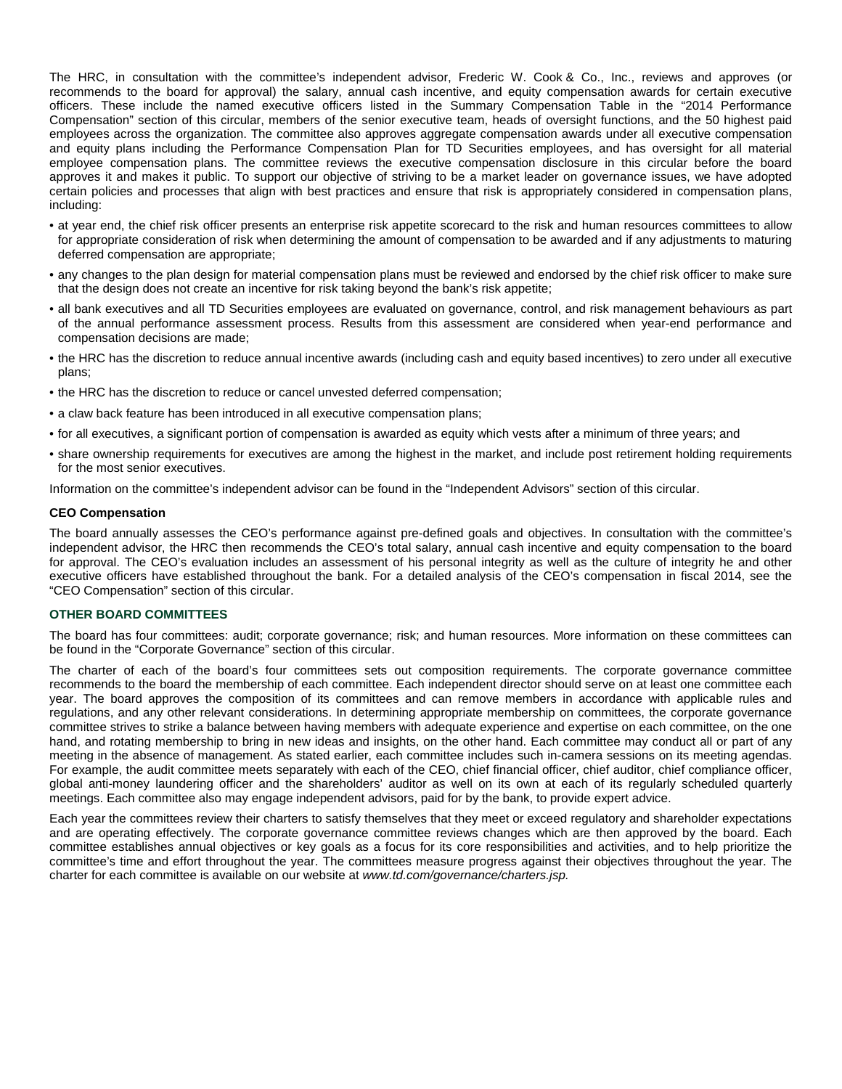The HRC, in consultation with the committee's independent advisor, Frederic W. Cook & Co., Inc., reviews and approves (or recommends to the board for approval) the salary, annual cash incentive, and equity compensation awards for certain executive officers. These include the named executive officers listed in the Summary Compensation Table in the "2014 Performance Compensation" section of this circular, members of the senior executive team, heads of oversight functions, and the 50 highest paid employees across the organization. The committee also approves aggregate compensation awards under all executive compensation and equity plans including the Performance Compensation Plan for TD Securities employees, and has oversight for all material employee compensation plans. The committee reviews the executive compensation disclosure in this circular before the board approves it and makes it public. To support our objective of striving to be a market leader on governance issues, we have adopted certain policies and processes that align with best practices and ensure that risk is appropriately considered in compensation plans, including:

- at year end, the chief risk officer presents an enterprise risk appetite scorecard to the risk and human resources committees to allow for appropriate consideration of risk when determining the amount of compensation to be awarded and if any adjustments to maturing deferred compensation are appropriate;
- any changes to the plan design for material compensation plans must be reviewed and endorsed by the chief risk officer to make sure that the design does not create an incentive for risk taking beyond the bank's risk appetite;
- all bank executives and all TD Securities employees are evaluated on governance, control, and risk management behaviours as part of the annual performance assessment process. Results from this assessment are considered when year-end performance and compensation decisions are made;
- the HRC has the discretion to reduce annual incentive awards (including cash and equity based incentives) to zero under all executive plans;
- the HRC has the discretion to reduce or cancel unvested deferred compensation;
- a claw back feature has been introduced in all executive compensation plans;
- for all executives, a significant portion of compensation is awarded as equity which vests after a minimum of three years; and
- share ownership requirements for executives are among the highest in the market, and include post retirement holding requirements for the most senior executives.

Information on the committee's independent advisor can be found in the "Independent Advisors" section of this circular.

#### **CEO Compensation**

The board annually assesses the CEO's performance against pre-defined goals and objectives. In consultation with the committee's independent advisor, the HRC then recommends the CEO's total salary, annual cash incentive and equity compensation to the board for approval. The CEO's evaluation includes an assessment of his personal integrity as well as the culture of integrity he and other executive officers have established throughout the bank. For a detailed analysis of the CEO's compensation in fiscal 2014, see the "CEO Compensation" section of this circular.

#### **OTHER BOARD COMMITTEES**

The board has four committees: audit; corporate governance; risk; and human resources. More information on these committees can be found in the "Corporate Governance" section of this circular.

The charter of each of the board's four committees sets out composition requirements. The corporate governance committee recommends to the board the membership of each committee. Each independent director should serve on at least one committee each year. The board approves the composition of its committees and can remove members in accordance with applicable rules and regulations, and any other relevant considerations. In determining appropriate membership on committees, the corporate governance committee strives to strike a balance between having members with adequate experience and expertise on each committee, on the one hand, and rotating membership to bring in new ideas and insights, on the other hand. Each committee may conduct all or part of any meeting in the absence of management. As stated earlier, each committee includes such in-camera sessions on its meeting agendas. For example, the audit committee meets separately with each of the CEO, chief financial officer, chief auditor, chief compliance officer, global anti-money laundering officer and the shareholders' auditor as well on its own at each of its regularly scheduled quarterly meetings. Each committee also may engage independent advisors, paid for by the bank, to provide expert advice.

Each year the committees review their charters to satisfy themselves that they meet or exceed regulatory and shareholder expectations and are operating effectively. The corporate governance committee reviews changes which are then approved by the board. Each committee establishes annual objectives or key goals as a focus for its core responsibilities and activities, and to help prioritize the committee's time and effort throughout the year. The committees measure progress against their objectives throughout the year. The charter for each committee is available on our website at *www.td.com/governance/charters.jsp.*